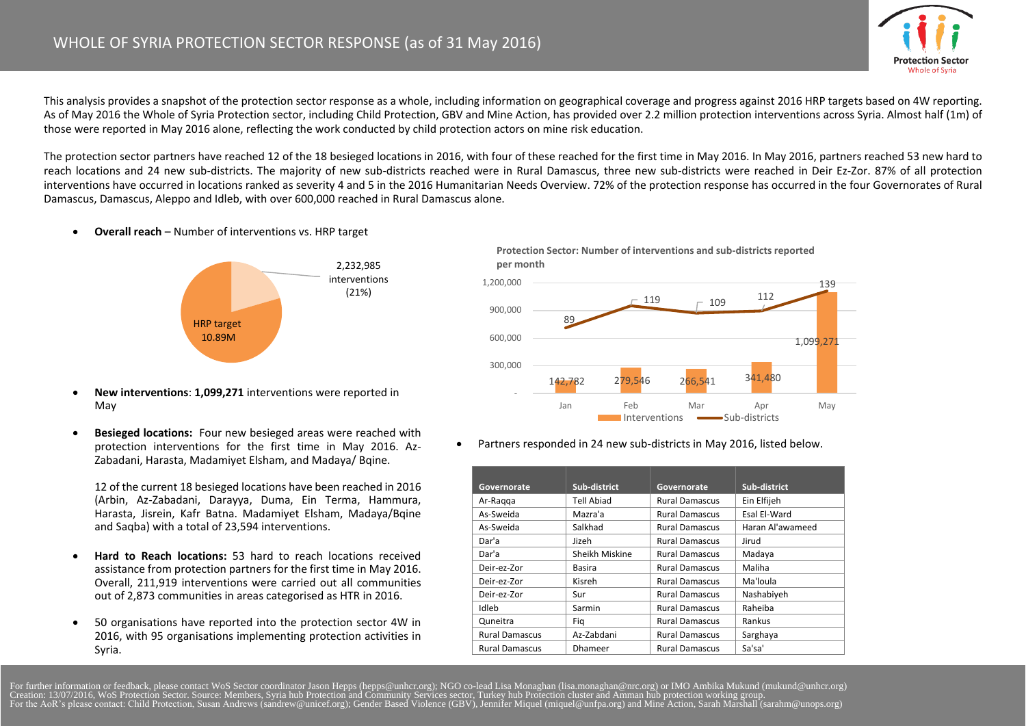

This analysis provides a snapshot of the protection sector response as a whole, including information on geographical coverage and progress against 2016 HRP targets based on 4W reporting. As of May 2016 the Whole of Syria Protection sector, including Child Protection, GBV and Mine Action, has provided over 2.2 million protection interventions across Syria. Almost half (1m) of those were reported in May 2016 alone, reflecting the work conducted by child protection actors on mine risk education.

The protection sector partners have reached 12 of the 18 besieged locations in 2016, with four of these reached for the first time in May 2016. In May 2016, partners reached 53 new hard to reach locations and 24 new sub-districts. The majority of new sub-districts reached were in Rural Damascus, three new sub-districts were reached in Deir Ez-Zor. 87% of all protection interventions have occurred in locations ranked as severity 4 and 5 in the 2016 Humanitarian Needs Overview. 72% of the protection response has occurred in the four Governorates of Rural Damascus, Damascus, Aleppo and Idleb, with over 600,000 reached in Rural Damascus alone.

**Overall reach** – Number of interventions vs. HRP target



- **New interventions**: **1,099,271** interventions were reported in May
- **Besieged locations:** Four new besieged areas were reached with protection interventions for the first time in May 2016. Az-Zabadani, Harasta, Madamiyet Elsham, and Madaya/ Bqine.

12 of the current 18 besieged locations have been reached in 2016 (Arbin, Az-Zabadani, Darayya, Duma, Ein Terma, Hammura, Harasta, Jisrein, Kafr Batna. Madamiyet Elsham, Madaya/Bqine and Saqba) with a total of 23,594 interventions.

- **Hard to Reach locations:** 53 hard to reach locations received assistance from protection partners for the first time in May 2016. Overall, 211,919 interventions were carried out all communities out of 2,873 communities in areas categorised as HTR in 2016.
- 50 organisations have reported into the protection sector 4W in 2016, with 95 organisations implementing protection activities in Syria.

**Protection Sector: Number of interventions and sub-districts reported per month**



Partners responded in 24 new sub-districts in May 2016, listed below.

| Governorate           | Sub-district      | Governorate           | Sub-district     |
|-----------------------|-------------------|-----------------------|------------------|
| Ar-Ragga              | <b>Tell Abiad</b> | <b>Rural Damascus</b> | Ein Elfijeh      |
| As-Sweida             | Mazra'a           | <b>Rural Damascus</b> | Esal El-Ward     |
| As-Sweida             | Salkhad           | <b>Rural Damascus</b> | Haran Al'awameed |
| Dar'a                 | Jizeh             | <b>Rural Damascus</b> | Jirud            |
| Dar'a                 | Sheikh Miskine    | <b>Rural Damascus</b> | Madaya           |
| Deir-ez-Zor           | Basira            | <b>Rural Damascus</b> | Maliha           |
| Deir-ez-Zor           | Kisreh            | <b>Rural Damascus</b> | Ma'loula         |
| Deir-ez-Zor           | Sur               | <b>Rural Damascus</b> | Nashabiyeh       |
| Idleb                 | Sarmin            | <b>Rural Damascus</b> | Raheiba          |
| Quneitra              | Fig               | <b>Rural Damascus</b> | Rankus           |
| <b>Rural Damascus</b> | Az-Zabdani        | <b>Rural Damascus</b> | Sarghaya         |
| <b>Rural Damascus</b> | <b>Dhameer</b>    | <b>Rural Damascus</b> | Sa'sa'           |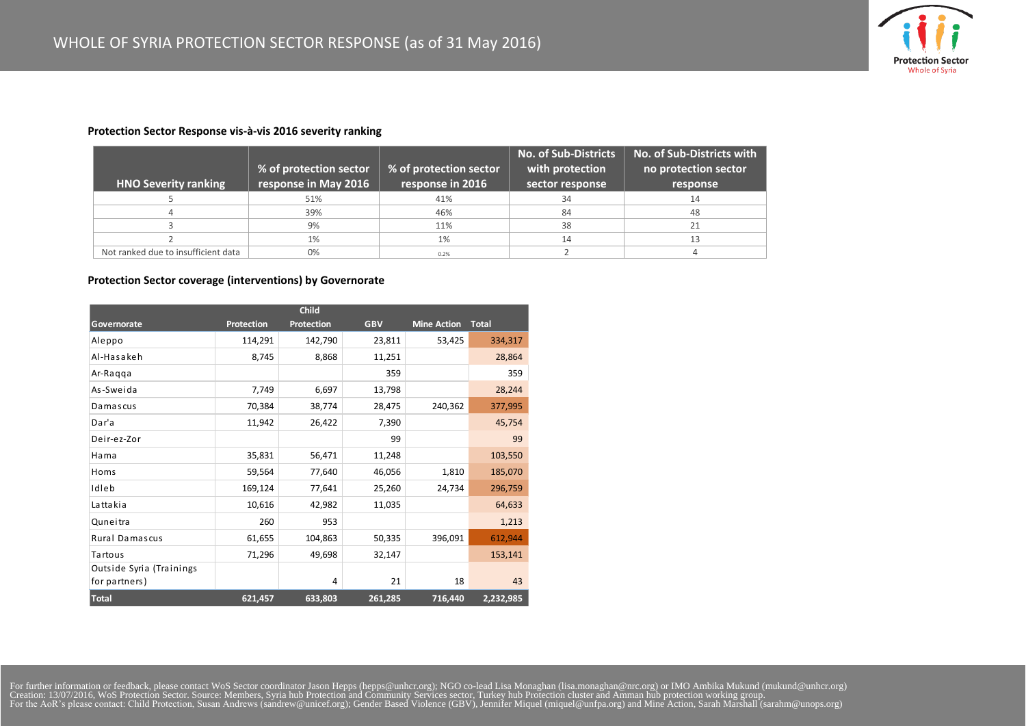

## **Protection Sector Response vis-à-vis 2016 severity ranking**

|                                     | % of protection sector | $\frac{1}{2}$ % of protection sector $\frac{1}{2}$ | <b>No. of Sub-Districts</b><br>with protection | No. of Sub-Districts with<br>no protection sector |
|-------------------------------------|------------------------|----------------------------------------------------|------------------------------------------------|---------------------------------------------------|
| <b>HNO Severity ranking</b>         | response in May 2016   | response in 2016                                   | sector response                                | response                                          |
|                                     | 51%                    | 41%                                                | 34                                             | 14                                                |
|                                     | 39%                    | 46%                                                | 84                                             | 48                                                |
|                                     | 9%                     | 11%                                                | 38                                             | 21                                                |
|                                     | 1%                     | 1%                                                 | 14                                             |                                                   |
| Not ranked due to insufficient data | 0%                     | 0.2%                                               |                                                |                                                   |

## **Protection Sector coverage (interventions) by Governorate**

| <b>Child</b>                              |                   |            |            |                    |              |  |  |  |  |  |
|-------------------------------------------|-------------------|------------|------------|--------------------|--------------|--|--|--|--|--|
| Governorate                               | <b>Protection</b> | Protection | <b>GBV</b> | <b>Mine Action</b> | <b>Total</b> |  |  |  |  |  |
| Aleppo                                    | 114,291           | 142,790    | 23,811     | 53,425             | 334,317      |  |  |  |  |  |
| Al-Hasakeh                                | 8,745             | 8,868      | 11,251     |                    | 28,864       |  |  |  |  |  |
| Ar-Raqqa                                  |                   |            | 359        |                    | 359          |  |  |  |  |  |
| As-Sweida                                 | 7,749             | 6,697      | 13,798     |                    | 28,244       |  |  |  |  |  |
| Damascus                                  | 70,384            | 38,774     | 28,475     | 240,362            | 377,995      |  |  |  |  |  |
| Dar'a                                     | 11,942            | 26,422     | 7,390      |                    | 45,754       |  |  |  |  |  |
| Deir-ez-Zor                               |                   |            | 99         |                    | 99           |  |  |  |  |  |
| Hama                                      | 35,831            | 56,471     | 11,248     |                    | 103,550      |  |  |  |  |  |
| Homs                                      | 59,564            | 77,640     | 46,056     | 1,810              | 185,070      |  |  |  |  |  |
| Idleb                                     | 169,124           | 77,641     | 25,260     | 24,734             | 296,759      |  |  |  |  |  |
| Lattakia                                  | 10,616            | 42,982     | 11,035     |                    | 64,633       |  |  |  |  |  |
| Quneitra                                  | 260               | 953        |            |                    | 1,213        |  |  |  |  |  |
| Rural Damascus                            | 61,655            | 104,863    | 50,335     | 396,091            | 612,944      |  |  |  |  |  |
| <b>Tartous</b>                            | 71,296            | 49,698     | 32,147     |                    | 153,141      |  |  |  |  |  |
| Outside Syria (Trainings<br>for partners) |                   | 4          | 21         | 18                 | 43           |  |  |  |  |  |
| <b>Total</b>                              | 621,457           | 633,803    | 261,285    | 716,440            | 2,232,985    |  |  |  |  |  |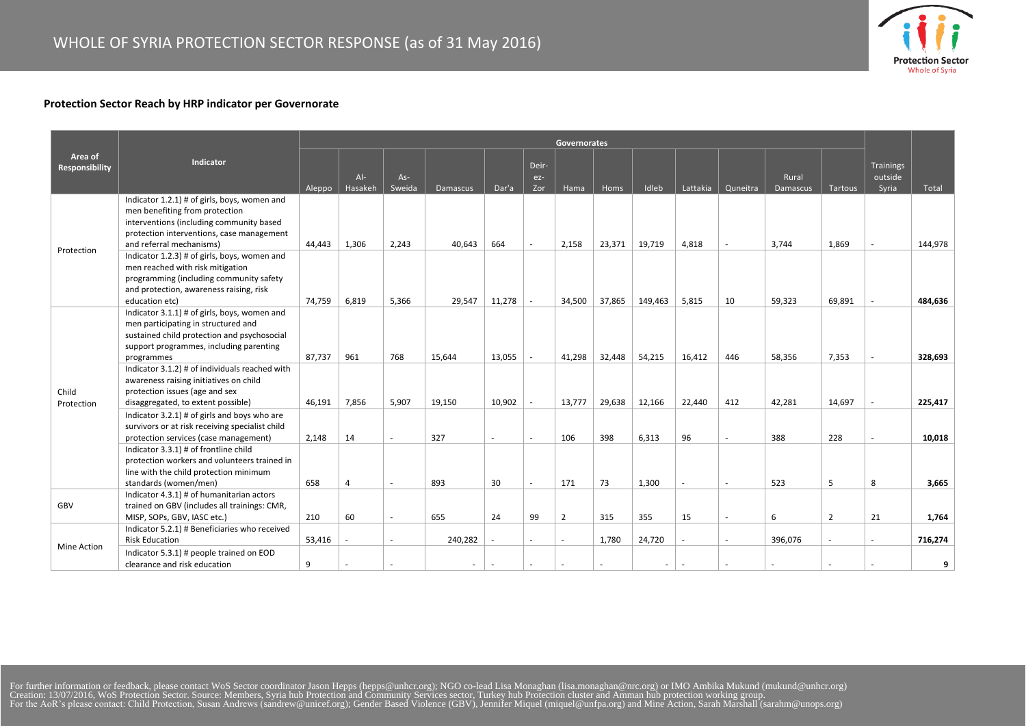

## **Protection Sector Reach by HRP indicator per Governorate**

|                           |                                                                                                                                                                                                     | Governorates |                  |                 |          |                          |                       |                |        |                          |          |          |                   |                |                               |         |
|---------------------------|-----------------------------------------------------------------------------------------------------------------------------------------------------------------------------------------------------|--------------|------------------|-----------------|----------|--------------------------|-----------------------|----------------|--------|--------------------------|----------|----------|-------------------|----------------|-------------------------------|---------|
| Area of<br>Responsibility | Indicator                                                                                                                                                                                           | Aleppo       | $Al-$<br>Hasakeh | $As-$<br>Sweida | Damascus | Dar'a                    | Deir-<br>$ez-$<br>Zor | Hama           | Homs   | Idleb                    | Lattakia | Quneitra | Rural<br>Damascus | Tartous        | Trainings<br>outside<br>Syria | Total   |
| Protection                | Indicator 1.2.1) # of girls, boys, women and<br>men benefiting from protection<br>interventions (including community based<br>protection interventions, case management<br>and referral mechanisms) | 44,443       | 1,306            | 2,243           | 40,643   | 664                      | $\sim$                | 2,158          | 23,371 | 19,719                   | 4,818    |          | 3,744             | 1,869          |                               | 144,978 |
|                           | Indicator 1.2.3) # of girls, boys, women and<br>men reached with risk mitigation<br>programming (including community safety<br>and protection, awareness raising, risk<br>education etc)            | 74,759       | 6,819            | 5,366           | 29,547   | 11,278                   |                       | 34,500         | 37,865 | 149,463                  | 5,815    | 10       | 59,323            | 69,891         |                               | 484,636 |
| Child<br>Protection       | Indicator 3.1.1) # of girls, boys, women and<br>men participating in structured and<br>sustained child protection and psychosocial<br>support programmes, including parenting<br>programmes         | 87,737       | 961              | 768             | 15,644   | 13,055                   |                       | 41,298         | 32,448 | 54,215                   | 16,412   | 446      | 58,356            | 7,353          | ×.                            | 328,693 |
|                           | Indicator 3.1.2) # of individuals reached with<br>awareness raising initiatives on child<br>protection issues (age and sex<br>disaggregated, to extent possible)                                    | 46,191       | 7,856            | 5,907           | 19,150   | 10,902                   |                       | 13,777         | 29,638 | 12,166                   | 22,440   | 412      | 42,281            | 14,697         |                               | 225,417 |
|                           | Indicator 3.2.1) # of girls and boys who are<br>survivors or at risk receiving specialist child<br>protection services (case management)                                                            | 2,148        | 14               | $\sim$          | 327      | $\overline{\phantom{a}}$ | $\sim$                | 106            | 398    | 6,313                    | 96       | $\sim$   | 388               | 228            | $\sim$                        | 10,018  |
|                           | Indicator 3.3.1) # of frontline child<br>protection workers and volunteers trained in<br>line with the child protection minimum<br>standards (women/men)                                            | 658          | $\overline{a}$   | $\sim$          | 893      | 30                       | $\sim$                | 171            | 73     | 1,300                    |          | $\sim$   | 523               | 5              | 8                             | 3,665   |
| GBV                       | Indicator 4.3.1) # of humanitarian actors<br>trained on GBV (includes all trainings: CMR,<br>MISP, SOPs, GBV, IASC etc.)                                                                            | 210          | 60               |                 | 655      | 24                       | 99                    | $\overline{2}$ | 315    | 355                      | 15       |          | 6                 | $\overline{2}$ | 21                            | 1,764   |
| <b>Mine Action</b>        | Indicator 5.2.1) # Beneficiaries who received<br><b>Risk Education</b>                                                                                                                              | 53,416       |                  |                 | 240,282  |                          |                       |                | 1,780  | 24,720                   |          |          | 396,076           |                | $\sim$                        | 716,274 |
|                           | Indicator 5.3.1) # people trained on EOD<br>clearance and risk education                                                                                                                            | 9            |                  |                 | $\sim$   |                          |                       |                |        | $\overline{\phantom{a}}$ |          |          |                   |                |                               | 9       |